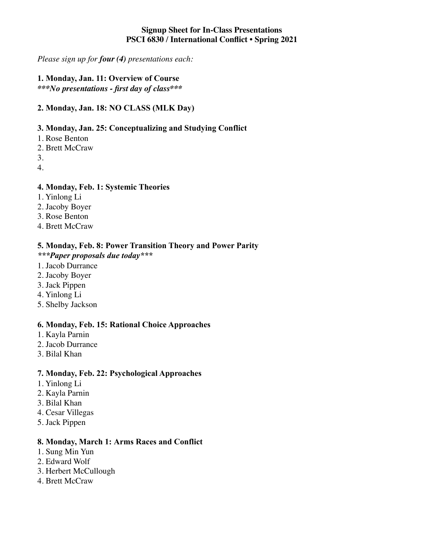#### **Signup Sheet for In-Class Presentations PSCI 6830 / International Conflict • Spring 2021**

*Please sign up for four (4) presentations each:*

#### **1. Monday, Jan. 11: Overview of Course** *\*\*\*No presentations - first day of class\*\*\**

## **2. Monday, Jan. 18: NO CLASS (MLK Day)**

## **3. Monday, Jan. 25: Conceptualizing and Studying Conflict**

- 1. Rose Benton
- 2. Brett McCraw
- 3.
- 4.

## **4. Monday, Feb. 1: Systemic Theories**

- 1. Yinlong Li
- 2. Jacoby Boyer
- 3. Rose Benton
- 4. Brett McCraw

# **5. Monday, Feb. 8: Power Transition Theory and Power Parity**

#### *\*\*\*Paper proposals due today\*\*\**

- 1. Jacob Durrance
- 2. Jacoby Boyer
- 3. Jack Pippen
- 4. Yinlong Li
- 5. Shelby Jackson

## **6. Monday, Feb. 15: Rational Choice Approaches**

- 1. Kayla Parnin
- 2. Jacob Durrance
- 3. Bilal Khan

#### **7. Monday, Feb. 22: Psychological Approaches**

- 1. Yinlong Li
- 2. Kayla Parnin
- 3. Bilal Khan
- 4. Cesar Villegas
- 5. Jack Pippen

#### **8. Monday, March 1: Arms Races and Conflict**

- 1. Sung Min Yun
- 2. Edward Wolf
- 3. Herbert McCullough
- 4. Brett McCraw